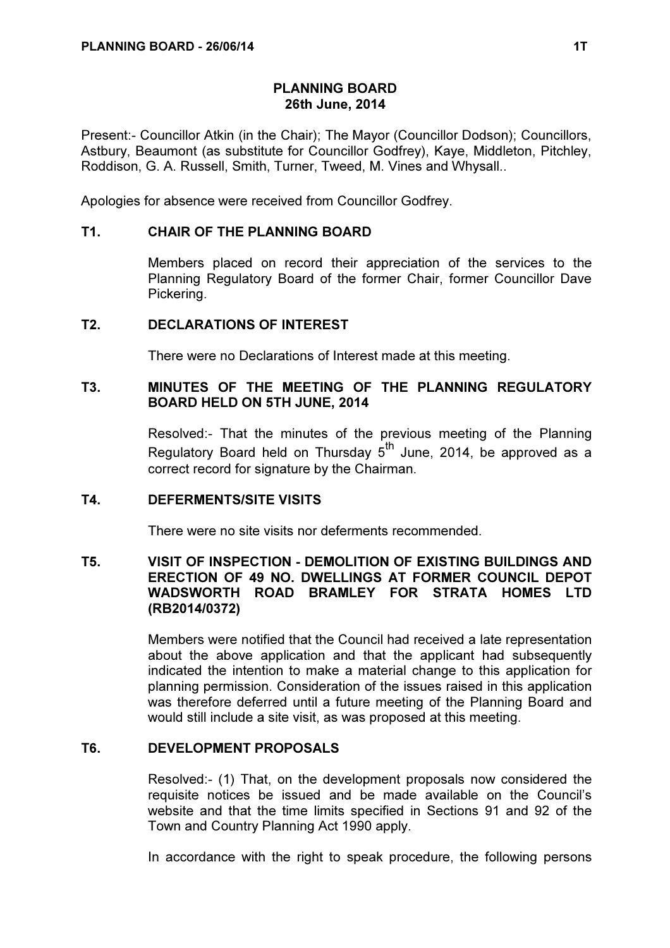# PLANNING BOARD 26th June, 2014

Present:- Councillor Atkin (in the Chair); The Mayor (Councillor Dodson); Councillors, Astbury, Beaumont (as substitute for Councillor Godfrey), Kaye, Middleton, Pitchley, Roddison, G. A. Russell, Smith, Turner, Tweed, M. Vines and Whysall..

Apologies for absence were received from Councillor Godfrey.

# T1. CHAIR OF THE PLANNING BOARD

 Members placed on record their appreciation of the services to the Planning Regulatory Board of the former Chair, former Councillor Dave Pickering.

### T2. DECLARATIONS OF INTEREST

There were no Declarations of Interest made at this meeting.

# T3. MINUTES OF THE MEETING OF THE PLANNING REGULATORY BOARD HELD ON 5TH JUNE, 2014

 Resolved:- That the minutes of the previous meeting of the Planning Regulatory Board held on Thursday  $5<sup>th</sup>$  June, 2014, be approved as a correct record for signature by the Chairman.

### T4. DEFERMENTS/SITE VISITS

There were no site visits nor deferments recommended.

# T5. VISIT OF INSPECTION - DEMOLITION OF EXISTING BUILDINGS AND ERECTION OF 49 NO. DWELLINGS AT FORMER COUNCIL DEPOT WADSWORTH ROAD BRAMLEY FOR STRATA HOMES LTD (RB2014/0372)

 Members were notified that the Council had received a late representation about the above application and that the applicant had subsequently indicated the intention to make a material change to this application for planning permission. Consideration of the issues raised in this application was therefore deferred until a future meeting of the Planning Board and would still include a site visit, as was proposed at this meeting.

# T6. DEVELOPMENT PROPOSALS

 Resolved:- (1) That, on the development proposals now considered the requisite notices be issued and be made available on the Council's website and that the time limits specified in Sections 91 and 92 of the Town and Country Planning Act 1990 apply.

In accordance with the right to speak procedure, the following persons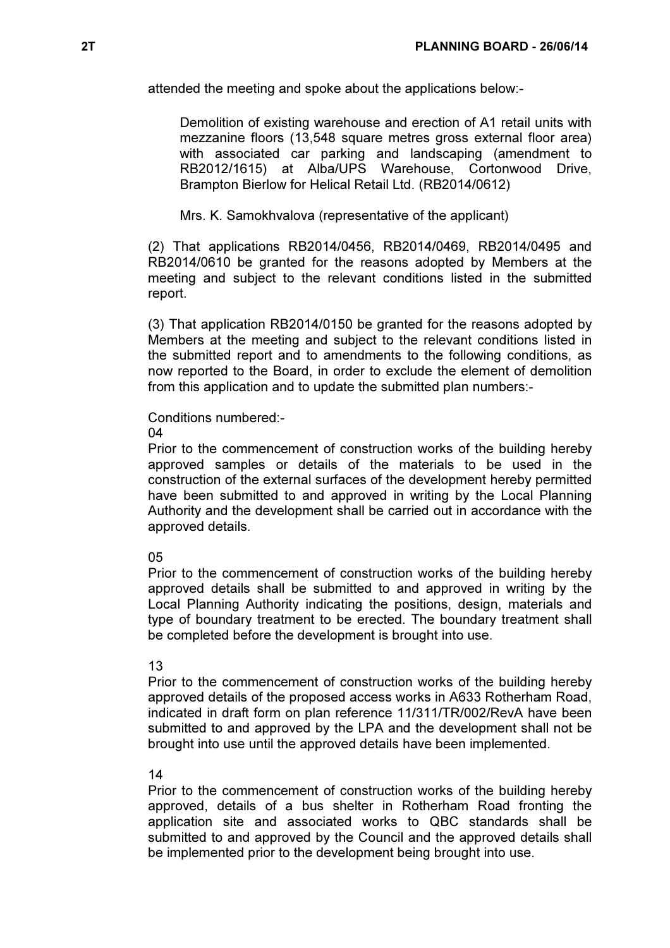attended the meeting and spoke about the applications below:-

Demolition of existing warehouse and erection of A1 retail units with mezzanine floors (13,548 square metres gross external floor area) with associated car parking and landscaping (amendment to RB2012/1615) at Alba/UPS Warehouse, Cortonwood Drive, Brampton Bierlow for Helical Retail Ltd. (RB2014/0612)

Mrs. K. Samokhvalova (representative of the applicant)

(2) That applications RB2014/0456, RB2014/0469, RB2014/0495 and RB2014/0610 be granted for the reasons adopted by Members at the meeting and subject to the relevant conditions listed in the submitted report.

(3) That application RB2014/0150 be granted for the reasons adopted by Members at the meeting and subject to the relevant conditions listed in the submitted report and to amendments to the following conditions, as now reported to the Board, in order to exclude the element of demolition from this application and to update the submitted plan numbers:-

### Conditions numbered:-

04

Prior to the commencement of construction works of the building hereby approved samples or details of the materials to be used in the construction of the external surfaces of the development hereby permitted have been submitted to and approved in writing by the Local Planning Authority and the development shall be carried out in accordance with the approved details.

#### 05

Prior to the commencement of construction works of the building hereby approved details shall be submitted to and approved in writing by the Local Planning Authority indicating the positions, design, materials and type of boundary treatment to be erected. The boundary treatment shall be completed before the development is brought into use.

#### 13

Prior to the commencement of construction works of the building hereby approved details of the proposed access works in A633 Rotherham Road, indicated in draft form on plan reference 11/311/TR/002/RevA have been submitted to and approved by the LPA and the development shall not be brought into use until the approved details have been implemented.

#### 14

Prior to the commencement of construction works of the building hereby approved, details of a bus shelter in Rotherham Road fronting the application site and associated works to QBC standards shall be submitted to and approved by the Council and the approved details shall be implemented prior to the development being brought into use.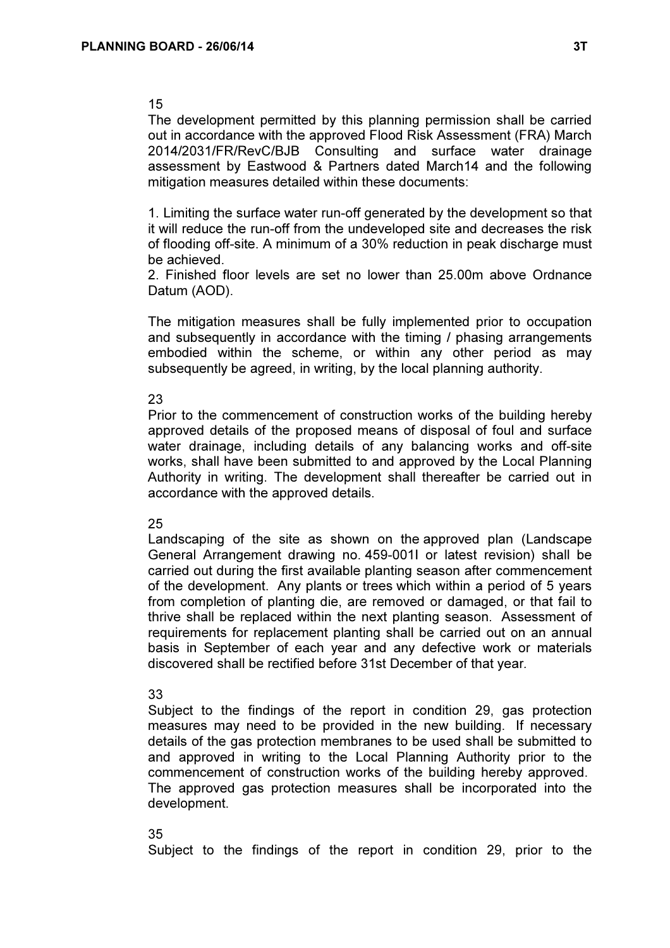# 15

The development permitted by this planning permission shall be carried out in accordance with the approved Flood Risk Assessment (FRA) March 2014/2031/FR/RevC/BJB Consulting and surface water drainage assessment by Eastwood & Partners dated March14 and the following mitigation measures detailed within these documents:

1. Limiting the surface water run-off generated by the development so that it will reduce the run-off from the undeveloped site and decreases the risk of flooding off-site. A minimum of a 30% reduction in peak discharge must be achieved.

2. Finished floor levels are set no lower than 25.00m above Ordnance Datum (AOD).

The mitigation measures shall be fully implemented prior to occupation and subsequently in accordance with the timing / phasing arrangements embodied within the scheme, or within any other period as may subsequently be agreed, in writing, by the local planning authority.

# 23

Prior to the commencement of construction works of the building hereby approved details of the proposed means of disposal of foul and surface water drainage, including details of any balancing works and off-site works, shall have been submitted to and approved by the Local Planning Authority in writing. The development shall thereafter be carried out in accordance with the approved details.

### 25

Landscaping of the site as shown on the approved plan (Landscape General Arrangement drawing no. 459-001I or latest revision) shall be carried out during the first available planting season after commencement of the development. Any plants or trees which within a period of 5 years from completion of planting die, are removed or damaged, or that fail to thrive shall be replaced within the next planting season. Assessment of requirements for replacement planting shall be carried out on an annual basis in September of each year and any defective work or materials discovered shall be rectified before 31st December of that year.

### 33

Subject to the findings of the report in condition 29, gas protection measures may need to be provided in the new building. If necessary details of the gas protection membranes to be used shall be submitted to and approved in writing to the Local Planning Authority prior to the commencement of construction works of the building hereby approved. The approved gas protection measures shall be incorporated into the development.

### 35

Subject to the findings of the report in condition 29, prior to the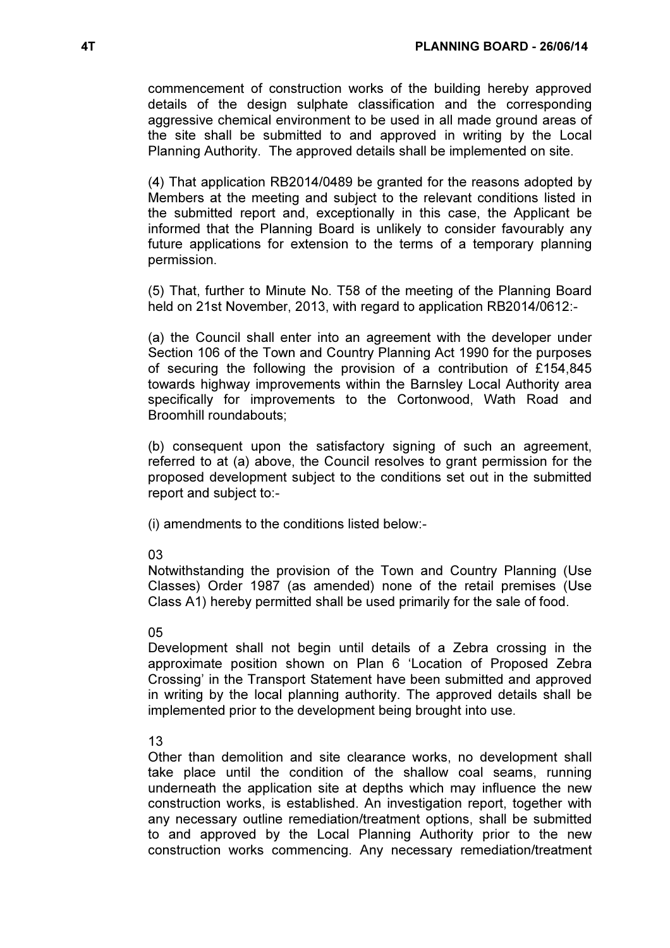commencement of construction works of the building hereby approved details of the design sulphate classification and the corresponding aggressive chemical environment to be used in all made ground areas of the site shall be submitted to and approved in writing by the Local Planning Authority. The approved details shall be implemented on site.

(4) That application RB2014/0489 be granted for the reasons adopted by Members at the meeting and subject to the relevant conditions listed in the submitted report and, exceptionally in this case, the Applicant be informed that the Planning Board is unlikely to consider favourably any future applications for extension to the terms of a temporary planning permission.

(5) That, further to Minute No. T58 of the meeting of the Planning Board held on 21st November, 2013, with regard to application RB2014/0612:-

(a) the Council shall enter into an agreement with the developer under Section 106 of the Town and Country Planning Act 1990 for the purposes of securing the following the provision of a contribution of £154,845 towards highway improvements within the Barnsley Local Authority area specifically for improvements to the Cortonwood, Wath Road and Broomhill roundabouts;

(b) consequent upon the satisfactory signing of such an agreement, referred to at (a) above, the Council resolves to grant permission for the proposed development subject to the conditions set out in the submitted report and subject to:-

(i) amendments to the conditions listed below:-

### 03

Notwithstanding the provision of the Town and Country Planning (Use Classes) Order 1987 (as amended) none of the retail premises (Use Class A1) hereby permitted shall be used primarily for the sale of food.

# 05

Development shall not begin until details of a Zebra crossing in the approximate position shown on Plan 6 'Location of Proposed Zebra Crossing' in the Transport Statement have been submitted and approved in writing by the local planning authority. The approved details shall be implemented prior to the development being brought into use.

# 13

Other than demolition and site clearance works, no development shall take place until the condition of the shallow coal seams, running underneath the application site at depths which may influence the new construction works, is established. An investigation report, together with any necessary outline remediation/treatment options, shall be submitted to and approved by the Local Planning Authority prior to the new construction works commencing. Any necessary remediation/treatment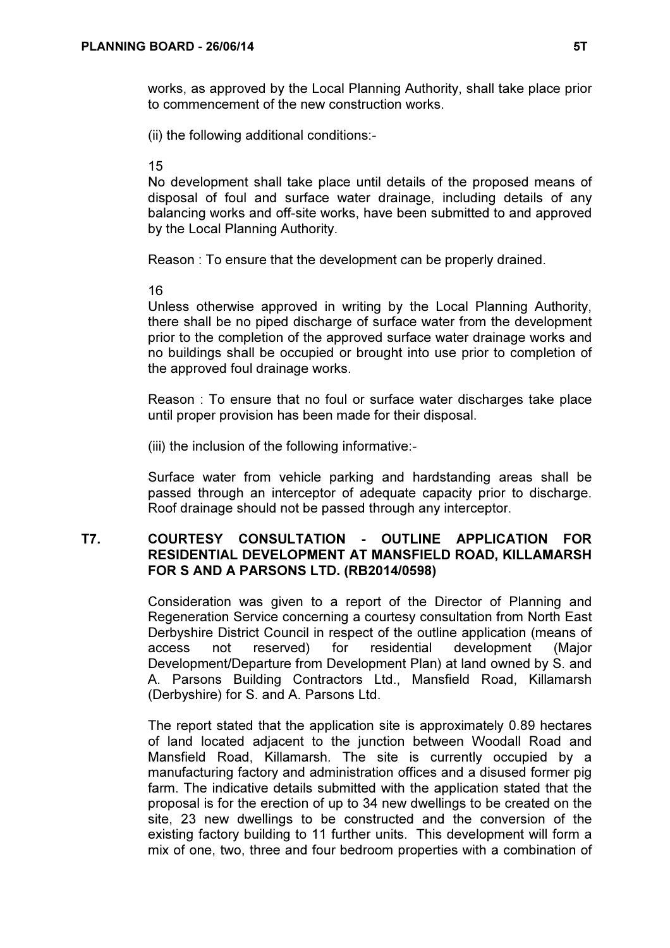works, as approved by the Local Planning Authority, shall take place prior to commencement of the new construction works.

(ii) the following additional conditions:-

15

No development shall take place until details of the proposed means of disposal of foul and surface water drainage, including details of any balancing works and off-site works, have been submitted to and approved by the Local Planning Authority.

Reason : To ensure that the development can be properly drained.

16

Unless otherwise approved in writing by the Local Planning Authority, there shall be no piped discharge of surface water from the development prior to the completion of the approved surface water drainage works and no buildings shall be occupied or brought into use prior to completion of the approved foul drainage works.

Reason : To ensure that no foul or surface water discharges take place until proper provision has been made for their disposal.

(iii) the inclusion of the following informative:-

Surface water from vehicle parking and hardstanding areas shall be passed through an interceptor of adequate capacity prior to discharge. Roof drainage should not be passed through any interceptor.

# T7. COURTESY CONSULTATION - OUTLINE APPLICATION FOR RESIDENTIAL DEVELOPMENT AT MANSFIELD ROAD, KILLAMARSH FOR S AND A PARSONS LTD. (RB2014/0598)

 Consideration was given to a report of the Director of Planning and Regeneration Service concerning a courtesy consultation from North East Derbyshire District Council in respect of the outline application (means of access not reserved) for residential development (Major Development/Departure from Development Plan) at land owned by S. and A. Parsons Building Contractors Ltd., Mansfield Road, Killamarsh (Derbyshire) for S. and A. Parsons Ltd.

The report stated that the application site is approximately 0.89 hectares of land located adjacent to the junction between Woodall Road and Mansfield Road, Killamarsh. The site is currently occupied by a manufacturing factory and administration offices and a disused former pig farm. The indicative details submitted with the application stated that the proposal is for the erection of up to 34 new dwellings to be created on the site, 23 new dwellings to be constructed and the conversion of the existing factory building to 11 further units. This development will form a mix of one, two, three and four bedroom properties with a combination of